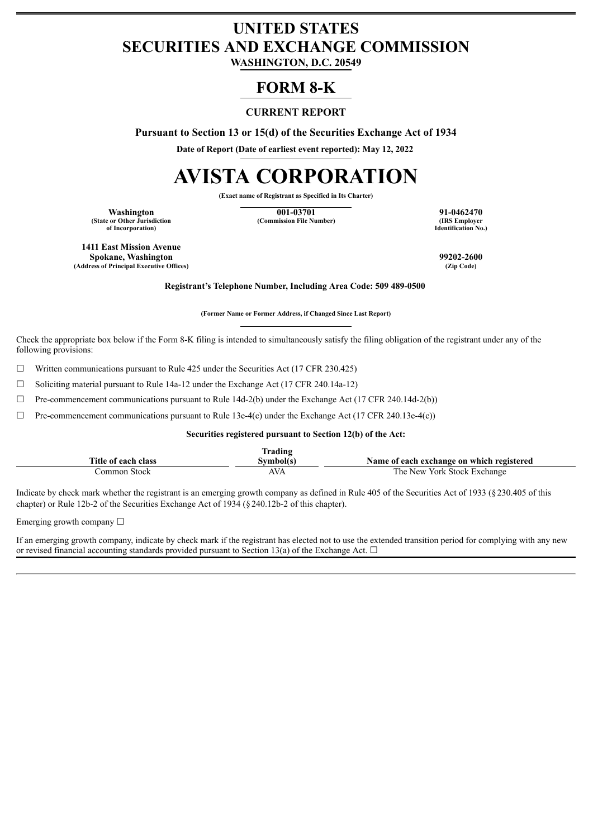## **UNITED STATES SECURITIES AND EXCHANGE COMMISSION**

**WASHINGTON, D.C. 20549**

### **FORM 8-K**

### **CURRENT REPORT**

**Pursuant to Section 13 or 15(d) of the Securities Exchange Act of 1934**

**Date of Report (Date of earliest event reported): May 12, 2022**

# **AVISTA CORPORATION**

**(Exact name of Registrant as Specified in Its Charter)**

**(State or Other Jurisdiction of Incorporation)**

**Washington**<br>
or Other Jurisdiction **1920 1-0462470**<br> **1920 1-0462470**<br> **1920 1-0462470**<br> **1920 1-0462470**<br> **1920 1-0462470 (Commission File Number)** 

**Identification No.)**

**1411 East Mission Avenue Spokane, Washington 99202-2600 (Address of Principal Executive Offices)** 

**Registrant's Telephone Number, Including Area Code: 509 489-0500**

**(Former Name or Former Address, if Changed Since Last Report)**

Check the appropriate box below if the Form 8-K filing is intended to simultaneously satisfy the filing obligation of the registrant under any of the following provisions:

 $\Box$  Written communications pursuant to Rule 425 under the Securities Act (17 CFR 230.425)

☐ Soliciting material pursuant to Rule 14a-12 under the Exchange Act (17 CFR 240.14a-12)

 $\Box$  Pre-commencement communications pursuant to Rule 14d-2(b) under the Exchange Act (17 CFR 240.14d-2(b))

 $\Box$  Pre-commencement communications pursuant to Rule 13e-4(c) under the Exchange Act (17 CFR 240.13e-4(c))

**Securities registered pursuant to Section 12(b) of the Act:**

|                       | Frading  |                                           |
|-----------------------|----------|-------------------------------------------|
| Title of each class   | ,vmbol(* | Name of each exchange on which registered |
| <b>Stock</b><br>ommon | AVA      | The New York Stock Exchange               |

Indicate by check mark whether the registrant is an emerging growth company as defined in Rule 405 of the Securities Act of 1933 (§230.405 of this chapter) or Rule 12b-2 of the Securities Exchange Act of 1934 (§240.12b-2 of this chapter).

Emerging growth company  $\Box$ 

If an emerging growth company, indicate by check mark if the registrant has elected not to use the extended transition period for complying with any new or revised financial accounting standards provided pursuant to Section 13(a) of the Exchange Act.  $\Box$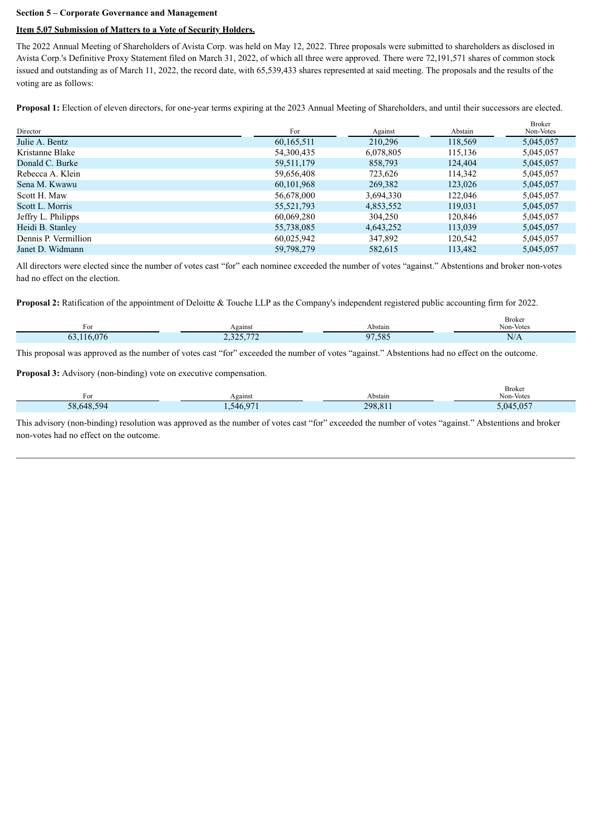### **Section 5 – Corporate Governance and Management**

### **Item 5.07 Submission of Matters to a Vote of Security Holders.**

The 2022 Annual Meeting of Shareholders of Avista Corp. was held on May 12, 2022. Three proposals were submitted to shareholders as disclosed in Avista Corp.'s Definitive Proxy Statement filed on March 31, 2022, of which all three were approved. There were 72,191,571 shares of common stock issued and outstanding as of March 11, 2022, the record date, with 65,539,433 shares represented at said meeting. The proposals and the results of the voting are as follows:

**Proposal 1:** Election of eleven directors, for one-year terms expiring at the 2023 Annual Meeting of Shareholders, and until their successors are elected.

| Director             | For        | Against   | Abstain | <b>Broker</b><br>Non-Votes |
|----------------------|------------|-----------|---------|----------------------------|
| Julie A. Bentz       | 60,165,511 | 210,296   | 118,569 | 5,045,057                  |
| Kristanne Blake      | 54,300,435 | 6,078,805 | 115,136 | 5,045,057                  |
| Donald C. Burke      | 59,511,179 | 858,793   | 124,404 | 5,045,057                  |
| Rebecca A. Klein     | 59,656,408 | 723,626   | 114,342 | 5,045,057                  |
| Sena M. Kwawu        | 60,101,968 | 269,382   | 123,026 | 5,045,057                  |
| Scott H. Maw         | 56,678,000 | 3,694,330 | 122,046 | 5,045,057                  |
| Scott L. Morris      | 55,521,793 | 4,853,552 | 119,031 | 5,045,057                  |
| Jeffry L. Philipps   | 60,069,280 | 304,250   | 120,846 | 5,045,057                  |
| Heidi B. Stanley     | 55,738,085 | 4,643,252 | 113,039 | 5,045,057                  |
| Dennis P. Vermillion | 60,025,942 | 347,892   | 120.542 | 5,045,057                  |
| Janet D. Widmann     | 59,798,279 | 582,615   | 113.482 | 5,045,057                  |

All directors were elected since the number of votes cast "for" each nominee exceeded the number of votes "against." Abstentions and broker non-votes had no effect on the election.

**Proposal 2:** Ratification of the appointment of Deloitte & Touche LLP as the Company's independent registered public accounting firm for 2022.

| $\sim$<br>For   | Against                             | Abstain    | <b>Broker</b><br>Non-Votes |
|-----------------|-------------------------------------|------------|----------------------------|
| .076<br>16<br>b | $\overline{a}$<br>225<br>2,32,7,112 | ,585<br>07 | $\rm N/A$                  |

This proposal was approved as the number of votes cast "for" exceeded the number of votes "against." Abstentions had no effect on the outcome.

**Proposal 3:** Advisory (non-binding) vote on executive compensation.

| For        | Against   | Abstain | Broker<br>Non-Votes |
|------------|-----------|---------|---------------------|
| 58,648,594 | 1,546,971 | 298,811 | 5,045,057           |

This advisory (non-binding) resolution was approved as the number of votes cast "for" exceeded the number of votes "against." Abstentions and broker non-votes had no effect on the outcome.